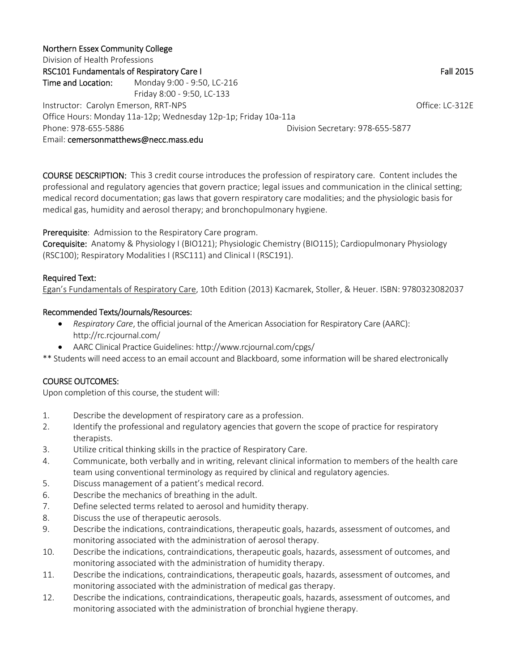#### Northern Essex Community College

Division of Health Professions RSC101 Fundamentals of Respiratory Care I Fall 2015 Time and Location: Monday 9:00 - 9:50, LC-216 Friday 8:00 ‐ 9:50, LC‐133 Instructor: Carolyn Emerson, RRT‐NPS Contractor: Carolyn Emerson, RRT‐NPS Office Hours: Monday 11a‐12p; Wednesday 12p‐1p; Friday 10a‐11a Phone: 978‐655‐5886 Division Secretary: 978‐655‐5877 Email: cemersonmatthews@necc.mass.edu

COURSE DESCRIPTION: This 3 credit course introduces the profession of respiratory care. Content includes the professional and regulatory agencies that govern practice; legal issues and communication in the clinical setting; medical record documentation; gas laws that govern respiratory care modalities; and the physiologic basis for medical gas, humidity and aerosol therapy; and bronchopulmonary hygiene.

Prerequisite: Admission to the Respiratory Care program.

Corequisite: Anatomy & Physiology I (BIO121); Physiologic Chemistry (BIO115); Cardiopulmonary Physiology (RSC100); Respiratory Modalities I (RSC111) and Clinical I (RSC191).

# Required Text:

Egan's Fundamentals of Respiratory Care, 10th Edition (2013) Kacmarek, Stoller, & Heuer. ISBN: 9780323082037

#### Recommended Texts/Journals/Resources:

- *Respiratory Care*, the official journal of the American Association for Respiratory Care (AARC): http://rc.rcjournal.com/
- AARC Clinical Practice Guidelines: http://www.rcjournal.com/cpgs/
- \*\* Students will need access to an email account and Blackboard, some information will be shared electronically

# COURSE OUTCOMES:

Upon completion of this course, the student will:

- 1. Describe the development of respiratory care as a profession.
- 2. Identify the professional and regulatory agencies that govern the scope of practice for respiratory therapists.
- 3. Utilize critical thinking skills in the practice of Respiratory Care.
- 4. Communicate, both verbally and in writing, relevant clinical information to members of the health care team using conventional terminology as required by clinical and regulatory agencies.
- 5. Discuss management of a patient's medical record.
- 6. Describe the mechanics of breathing in the adult.
- 7. Define selected terms related to aerosol and humidity therapy.
- 8. Discuss the use of therapeutic aerosols.
- 9. Describe the indications, contraindications, therapeutic goals, hazards, assessment of outcomes, and monitoring associated with the administration of aerosol therapy.
- 10. Describe the indications, contraindications, therapeutic goals, hazards, assessment of outcomes, and monitoring associated with the administration of humidity therapy.
- 11. Describe the indications, contraindications, therapeutic goals, hazards, assessment of outcomes, and monitoring associated with the administration of medical gas therapy.
- 12. Describe the indications, contraindications, therapeutic goals, hazards, assessment of outcomes, and monitoring associated with the administration of bronchial hygiene therapy.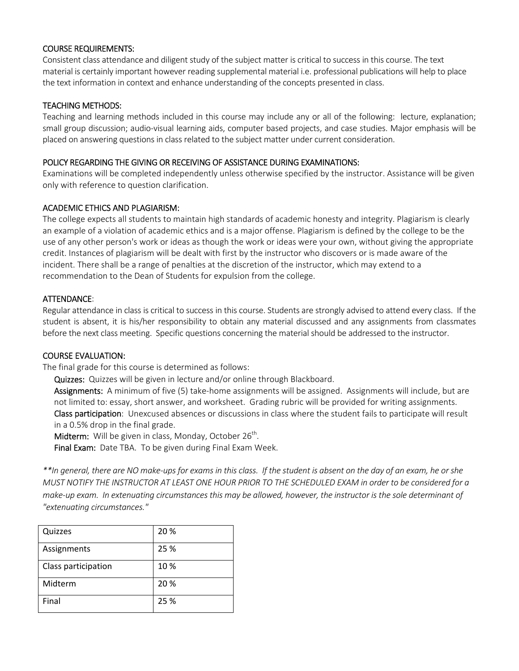### COURSE REQUIREMENTS:

Consistent class attendance and diligent study of the subject matter is critical to success in this course. The text material is certainly important however reading supplemental material i.e. professional publications will help to place the text information in context and enhance understanding of the concepts presented in class.

### TEACHING METHODS:

Teaching and learning methods included in this course may include any or all of the following: lecture, explanation; small group discussion; audio‐visual learning aids, computer based projects, and case studies. Major emphasis will be placed on answering questions in class related to the subject matter under current consideration.

# POLICY REGARDING THE GIVING OR RECEIVING OF ASSISTANCE DURING EXAMINATIONS:

Examinations will be completed independently unless otherwise specified by the instructor. Assistance will be given only with reference to question clarification.

# ACADEMIC ETHICS AND PLAGIARISM:

The college expects all students to maintain high standards of academic honesty and integrity. Plagiarism is clearly an example of a violation of academic ethics and is a major offense. Plagiarism is defined by the college to be the use of any other person's work or ideas as though the work or ideas were your own, without giving the appropriate credit. Instances of plagiarism will be dealt with first by the instructor who discovers or is made aware of the incident. There shall be a range of penalties at the discretion of the instructor, which may extend to a recommendation to the Dean of Students for expulsion from the college.

# ATTENDANCE:

Regular attendance in class is critical to success in this course. Students are strongly advised to attend every class. If the student is absent, it is his/her responsibility to obtain any material discussed and any assignments from classmates before the next class meeting. Specific questions concerning the material should be addressed to the instructor.

#### COURSE EVALUATION:

The final grade for this course is determined as follows:

Quizzes: Quizzes will be given in lecture and/or online through Blackboard.

Assignments: A minimum of five (5) take-home assignments will be assigned. Assignments will include, but are not limited to: essay, short answer, and worksheet. Grading rubric will be provided for writing assignments. Class participation: Unexcused absences or discussions in class where the student fails to participate will result in a 0.5% drop in the final grade.

**Midterm:** Will be given in class, Monday, October  $26^{th}$ .

Final Exam: Date TBA. To be given during Final Exam Week.

*\*\*In general, there are NO make‐ups for exams in this class. If the student is absent on the day of an exam, he or she MUST NOTIFY THE INSTRUCTOR AT LEAST ONE HOUR PRIOR TO THE SCHEDULED EXAM in order to be considered for a make‐up exam. In extenuating circumstances this may be allowed, however, the instructor is the sole determinant of "extenuating circumstances."* 

| Quizzes             | 20 % |
|---------------------|------|
| Assignments         | 25 % |
| Class participation | 10%  |
| Midterm             | 20 % |
| Final               | 25 % |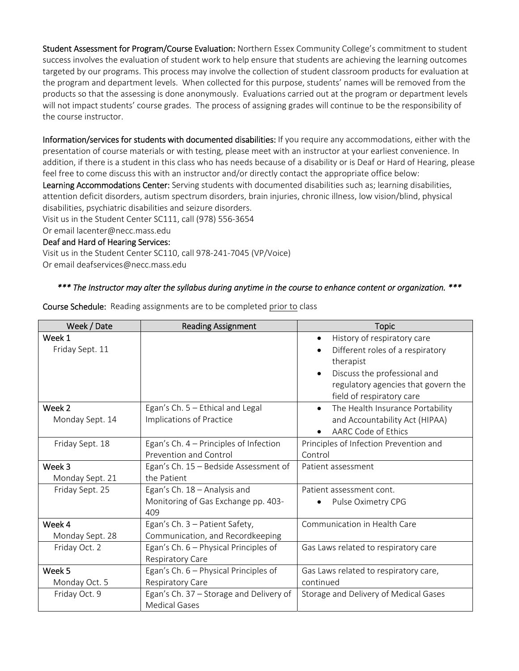Student Assessment for Program/Course Evaluation: Northern Essex Community College's commitment to student success involves the evaluation of student work to help ensure that students are achieving the learning outcomes targeted by our programs. This process may involve the collection of student classroom products for evaluation at the program and department levels. When collected for this purpose, students' names will be removed from the products so that the assessing is done anonymously. Evaluations carried out at the program or department levels will not impact students' course grades. The process of assigning grades will continue to be the responsibility of the course instructor.

Information/services for students with documented disabilities: If you require any accommodations, either with the presentation of course materials or with testing, please meet with an instructor at your earliest convenience. In addition, if there is a student in this class who has needs because of a disability or is Deaf or Hard of Hearing, please feel free to come discuss this with an instructor and/or directly contact the appropriate office below:

Learning Accommodations Center: Serving students with documented disabilities such as; learning disabilities, attention deficit disorders, autism spectrum disorders, brain injuries, chronic illness, low vision/blind, physical disabilities, psychiatric disabilities and seizure disorders.

Visit us in the Student Center SC111, call (978) 556‐3654

Or email lacenter@necc.mass.edu

#### Deaf and Hard of Hearing Services:

Visit us in the Student Center SC110, call 978‐241‐7045 (VP/Voice) Or email deafservices@necc.mass.edu

# *\*\*\* The Instructor may alter the syllabus during anytime in the course to enhance content or organization. \*\*\**

Course Schedule: Reading assignments are to be completed prior to class

| Week / Date     | <b>Reading Assignment</b>               | <b>Topic</b>                             |
|-----------------|-----------------------------------------|------------------------------------------|
| Week 1          |                                         | History of respiratory care<br>$\bullet$ |
| Friday Sept. 11 |                                         | Different roles of a respiratory         |
|                 |                                         | therapist                                |
|                 |                                         | Discuss the professional and             |
|                 |                                         | regulatory agencies that govern the      |
|                 |                                         | field of respiratory care                |
| Week 2          | Egan's Ch. 5 - Ethical and Legal        | The Health Insurance Portability         |
| Monday Sept. 14 | Implications of Practice                | and Accountability Act (HIPAA)           |
|                 |                                         | AARC Code of Ethics                      |
| Friday Sept. 18 | Egan's Ch. 4 - Principles of Infection  | Principles of Infection Prevention and   |
|                 | Prevention and Control                  | Control                                  |
| Week 3          | Egan's Ch. 15 - Bedside Assessment of   | Patient assessment                       |
| Monday Sept. 21 | the Patient                             |                                          |
| Friday Sept. 25 | Egan's Ch. 18 - Analysis and            | Patient assessment cont.                 |
|                 | Monitoring of Gas Exchange pp. 403-     | Pulse Oximetry CPG                       |
|                 | 409                                     |                                          |
| Week 4          | Egan's Ch. 3 - Patient Safety,          | Communication in Health Care             |
| Monday Sept. 28 | Communication, and Recordkeeping        |                                          |
| Friday Oct. 2   | Egan's Ch. 6 – Physical Principles of   | Gas Laws related to respiratory care     |
|                 | Respiratory Care                        |                                          |
| Week 5          | Egan's Ch. 6 - Physical Principles of   | Gas Laws related to respiratory care,    |
| Monday Oct. 5   | Respiratory Care                        | continued                                |
| Friday Oct. 9   | Egan's Ch. 37 - Storage and Delivery of | Storage and Delivery of Medical Gases    |
|                 | <b>Medical Gases</b>                    |                                          |